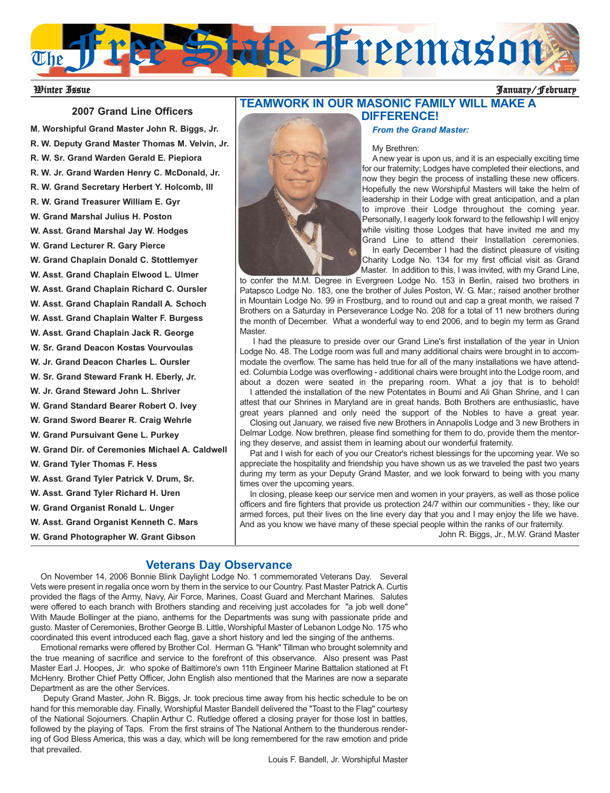

### Winter Issue January/February

### **2007 Grand Line Officers**

**M. Worshipful Grand Master John R. Biggs, Jr. R. W. Deputy Grand Master Thomas M. Velvin, Jr. R. W. Sr. Grand Warden Gerald E. Piepiora R. W. Jr. Grand Warden Henry C. McDonald, Jr. R. W. Grand Secretary Herbert Y. Holcomb, III R. W. Grand Treasurer William E. Gyr W. Grand Marshal Julius H. Poston W. Asst. Grand Marshal Jay W. Hodges W. Grand Lecturer R. Gary Pierce W. Grand Chaplain Donald C. Stottlemyer W. Asst. Grand Chaplain Elwood L. Ulmer W. Asst. Grand Chaplain Richard C. Oursler W. Asst. Grand Chaplain Randall A. Schoch W. Asst. Grand Chaplain Walter F. Burgess W. Asst. Grand Chaplain Jack R. George W. Sr. Grand Deacon Kostas Vourvoulas W. Jr. Grand Deacon Charles L. Oursler W. Sr. Grand Steward Frank H. Eberly, Jr. W. Jr. Grand Steward John L. Shriver W. Grand Standard Bearer Robert O. Ivey W. Grand Sword Bearer R. Craig Wehrle W. Grand Pursuivant Gene L. Purkey W. Grand Dir. of Ceremonies Michael A. Caldwell W. Grand Tyler Thomas F. Hess W. Asst. Grand Tyler Patrick V. Drum, Sr. W. Asst. Grand Tyler Richard H. Uren W. Grand Organist Ronald L. Unger W. Asst. Grand Organist Kenneth C. Mars W. Grand Photographer W. Grant Gibson**

## **TEAMWORK IN OUR MASONIC FAMILY WILL MAKE A DIFFERENCE!**



#### My Brethren:

A new year is upon us, and it is an especially exciting time for our fraternity; Lodges have completed their elections, and now they begin the process of installing these new officers. Hopefully the new Worshipful Masters will take the helm of leadership in their Lodge with great anticipation, and a plan to improve their Lodge throughout the coming year. Personally, I eagerly look forward to the fellowship I will enjoy while visiting those Lodges that have invited me and my Grand Line to attend their Installation ceremonies. In early December I had the distinct pleasure of visiting Charity Lodge No. 134 for my first official visit as Grand Master. In addition to this, I was invited, with my Grand Line,

to confer the M.M. Degree in Evergreen Lodge No. 153 in Berlin, raised two brothers in Patapsco Lodge No. 183, one the brother of Jules Poston, W. G. Mar.; raised another brother in Mountain Lodge No. 99 in Frostburg, and to round out and cap a great month, we raised 7 Brothers on a Saturday in Perseverance Lodge No. 208 for a total of 11 new brothers during the month of December. What a wonderful way to end 2006, and to begin my term as Grand Master.

I had the pleasure to preside over our Grand Line's first installation of the year in Union Lodge No. 48. The Lodge room was full and many additional chairs were brought in to accommodate the overflow. The same has held true for all of the many installations we have attended. Columbia Lodge was overflowing - additional chairs were brought into the Lodge room, and about a dozen were seated in the preparing room. What a joy that is to behold!

I attended the installation of the new Potentates in Boumi and Ali Ghan Shrine, and I can attest that our Shrines in Maryland are in great hands. Both Brothers are enthusiastic, have great years planned and only need the support of the Nobles to have a great year.

Closing out January, we raised five new Brothers in Annapolis Lodge and 3 new Brothers in Delmar Lodge. Now brethren, please find something for them to do, provide them the mentoring they deserve, and assist them in learning about our wonderful fraternity.

Pat and I wish for each of you our Creator's richest blessings for the upcoming year. We so appreciate the hospitality and friendship you have shown us as we traveled the past two years during my term as your Deputy Grand Master, and we look forward to being with you many times over the upcoming years.

In closing, please keep our service men and women in your prayers, as well as those police officers and fire fighters that provide us protection 24/7 within our communities - they, like our armed forces, put their lives on the line every day that you and I may enjoy the life we have. And as you know we have many of these special people within the ranks of our fraternity.

John R. Biggs, Jr., M.W. Grand Master

## **Veterans Day Observance**

On November 14, 2006 Bonnie Blink Daylight Lodge No. 1 commemorated Veterans Day. Several Vets were present in regalia once worn by them in the service to our Country. Past Master Patrick A. Curtis provided the flags of the Army, Navy, Air Force, Marines, Coast Guard and Merchant Marines. Salutes were offered to each branch with Brothers standing and receiving just accolades for "a job well done" With Maude Bollinger at the piano, anthems for the Departments was sung with passionate pride and gusto. Master of Ceremonies, Brother George B. Little, Worshipful Master of Lebanon Lodge No. 175 who coordinated this event introduced each flag, gave a short history and led the singing of the anthems.

Emotional remarks were offered by Brother Col. Herman G. "Hank" Tillman who brought solemnity and the true meaning of sacrifice and service to the forefront of this observance. Also present was Past Master Earl J. Hoopes, Jr. who spoke of Baltimore's own 11th Engineer Marine Battalion stationed at Ft McHenry. Brother Chief Petty Officer, John English also mentioned that the Marines are now a separate Department as are the other Services.

Deputy Grand Master, John R. Biggs, Jr. took precious time away from his hectic schedule to be on hand for this memorable day. Finally, Worshipful Master Bandell delivered the "Toast to the Flag" courtesy of the National Sojourners. Chaplin Arthur C. Rutledge offered a closing prayer for those lost in battles, followed by the playing of Taps. From the first strains of The National Anthem to the thunderous rendering of God Bless America, this was a day, which will be long remembered for the raw emotion and pride that prevailed.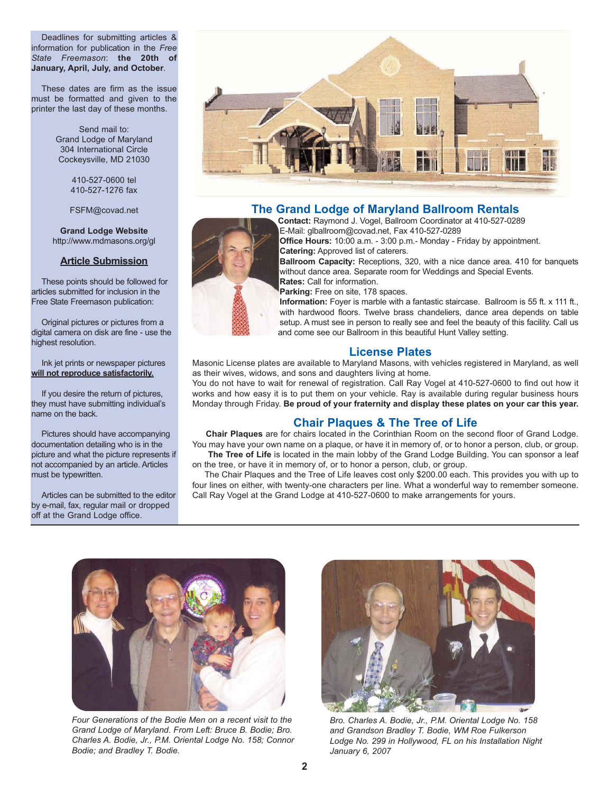Deadlines for submitting articles & information for publication in the *Free State Freemason*: **the 20th of January, April, July, and October**.

These dates are firm as the issue must be formatted and given to the printer the last day of these months.

> Send mail to: Grand Lodge of Maryland 304 International Circle Cockeysville, MD 21030

> > 410-527-0600 tel 410-527-1276 fax

FSFM@covad.net

**Grand Lodge Website** http://www.mdmasons.org/gl

### **Article Submission**

These points should be followed for articles submitted for inclusion in the Free State Freemason publication:

Original pictures or pictures from a digital camera on disk are fine - use the highest resolution.

Ink jet prints or newspaper pictures **will not reproduce satisfactorily.**

If you desire the return of pictures, they must have submitting individual's name on the back.

Pictures should have accompanying documentation detailing who is in the picture and what the picture represents if not accompanied by an article. Articles must be typewritten.

Articles can be submitted to the editor by e-mail, fax, regular mail or dropped off at the Grand Lodge office.



# **The Grand Lodge of Maryland Ballroom Rentals**



**Contact:** Raymond J. Vogel, Ballroom Coordinator at 410-527-0289 E-Mail: glballroom@covad.net, Fax 410-527-0289

**Office Hours:** 10:00 a.m. - 3:00 p.m.- Monday - Friday by appointment. **Catering:** Approved list of caterers.

**Ballroom Capacity:** Receptions, 320, with a nice dance area. 410 for banquets without dance area. Separate room for Weddings and Special Events. **Rates:** Call for information.

Parking: Free on site, 178 spaces.

**Information:** Foyer is marble with a fantastic staircase. Ballroom is 55 ft. x 111 ft., with hardwood floors. Twelve brass chandeliers, dance area depends on table setup. A must see in person to really see and feel the beauty of this facility. Call us and come see our Ballroom in this beautiful Hunt Valley setting.

# **License Plates**

Masonic License plates are available to Maryland Masons, with vehicles registered in Maryland, as well as their wives, widows, and sons and daughters living at home.

You do not have to wait for renewal of registration. Call Ray Vogel at 410-527-0600 to find out how it works and how easy it is to put them on your vehicle. Ray is available during regular business hours Monday through Friday. **Be proud of your fraternity and display these plates on your car this year.**

# **Chair Plaques & The Tree of Life**

**Chair Plaques** are for chairs located in the Corinthian Room on the second floor of Grand Lodge. You may have your own name on a plaque, or have it in memory of, or to honor a person, club, or group.

The Tree of Life is located in the main lobby of the Grand Lodge Building. You can sponsor a leaf on the tree, or have it in memory of, or to honor a person, club, or group.

The Chair Plaques and the Tree of Life leaves cost only \$200.00 each. This provides you with up to four lines on either, with twenty-one characters per line. What a wonderful way to remember someone. Call Ray Vogel at the Grand Lodge at 410-527-0600 to make arrangements for yours.



*Four Generations of the Bodie Men on a recent visit to the Grand Lodge of Maryland. From Left: Bruce B. Bodie; Bro. Charles A. Bodie, Jr., P.M. Oriental Lodge No. 158; Connor Bodie; and Bradley T. Bodie.* 



*Bro. Charles A. Bodie, Jr., P.M. Oriental Lodge No. 158 and Grandson Bradley T. Bodie, WM Roe Fulkerson Lodge No. 299 in Hollywood, FL on his Installation Night January 6, 2007*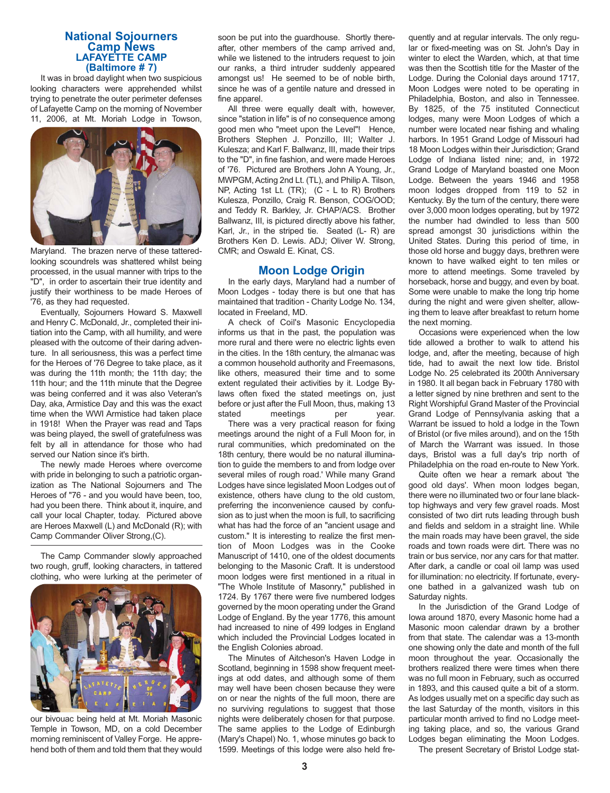# **National Sojourners Camp News LAFAYETTE CAMP (Baltimore # 7)**

It was in broad daylight when two suspicious looking characters were apprehended whilst trying to penetrate the outer perimeter defenses of Lafayette Camp on the morning of November 11, 2006, at Mt. Moriah Lodge in Towson,



Maryland. The brazen nerve of these tatteredlooking scoundrels was shattered whilst being processed, in the usual manner with trips to the "D", in order to ascertain their true identity and justify their worthiness to be made Heroes of '76, as they had requested.

Eventually, Sojourners Howard S. Maxwell and Henry C. McDonald, Jr., completed their initiation into the Camp, with all humility, and were pleased with the outcome of their daring adventure. In all seriousness, this was a perfect time for the Heroes of '76 Degree to take place, as it was during the 11th month; the 11th day; the 11th hour; and the 11th minute that the Degree was being conferred and it was also Veteran's Day, aka, Armistice Day and this was the exact time when the WWI Armistice had taken place in 1918! When the Prayer was read and Taps was being played, the swell of gratefulness was felt by all in attendance for those who had served our Nation since it's birth.

The newly made Heroes where overcome with pride in belonging to such a patriotic organization as The National Sojourners and The Heroes of "76 - and you would have been, too, had you been there. Think about it, inquire, and call your local Chapter, today. Pictured above are Heroes Maxwell (L) and McDonald (R); with Camp Commander Oliver Strong,(C).

The Camp Commander slowly approached two rough, gruff, looking characters, in tattered clothing, who were lurking at the perimeter of



our bivouac being held at Mt. Moriah Masonic Temple in Towson, MD, on a cold December morning reminiscent of Valley Forge. He apprehend both of them and told them that they would soon be put into the guardhouse. Shortly thereafter, other members of the camp arrived and, while we listened to the intruders request to join our ranks, a third intruder suddenly appeared amongst us! He seemed to be of noble birth, since he was of a gentile nature and dressed in fine apparel.

All three were equally dealt with, however, since "station in life" is of no consequence among good men who "meet upon the Level"! Hence, Brothers Stephen J. Ponzillo, III; Walter J. Kulesza; and Karl F. Ballwanz, III, made their trips to the "D", in fine fashion, and were made Heroes of '76. Pictured are Brothers John A Young, Jr., MWPGM, Acting 2nd Lt. (TL), and Philip A. Tilson, NP, Acting 1st Lt. (TR); (C - L to R) Brothers Kulesza, Ponzillo, Craig R. Benson, COG/OOD; and Teddy R. Barkley, Jr. CHAP/ACS. Brother Ballwanz, III, is pictured directly above his father, Karl, Jr., in the striped tie. Seated (L- R) are Brothers Ken D. Lewis. ADJ; Oliver W. Strong, CMR; and Oswald E. Kinat, CS.

### **Moon Lodge Origin**

In the early days, Maryland had a number of Moon Lodges - today there is but one that has maintained that tradition - Charity Lodge No. 134, located in Freeland, MD.

A check of Coil's Masonic Encyclopedia informs us that in the past, the population was more rural and there were no electric lights even in the cities. In the 18th century, the almanac was a common household authority and Freemasons, like others, measured their time and to some extent regulated their activities by it. Lodge Bylaws often fixed the stated meetings on, just before or just after the Full Moon, thus, making 13 stated meetings per year.

There was a very practical reason for fixing meetings around the night of a Full Moon for, in rural communities, which predominated on the 18th century, there would be no natural illumination to guide the members to and from lodge over several miles of rough road.' While many Grand Lodges have since legislated Moon Lodges out of existence, others have clung to the old custom, preferring the inconvenience caused by confusion as to just when the moon is full, to sacrificing what has had the force of an "ancient usage and custom." It is interesting to realize the first mention of Moon Lodges was in the Cooke Manuscript of 1410, one of the oldest documents belonging to the Masonic Craft. It is understood moon lodges were first mentioned in a ritual in "The Whole Institute of Masonry," published in 1724. By 1767 there were five numbered lodges governed by the moon operating under the Grand Lodge of England. By the year 1776, this amount had increased to nine of 499 lodges in England which included the Provincial Lodges located in the English Colonies abroad.

The Minutes of Aitcheson's Haven Lodge in Scotland, beginning in 1598 show frequent meetings at odd dates, and although some of them may well have been chosen because they were on or near the nights of the full moon, there are no surviving regulations to suggest that those nights were deliberately chosen for that purpose. The same applies to the Lodge of Edinburgh (Mary's Chapel) No. 1, whose minutes go back to 1599. Meetings of this lodge were also held fre-

quently and at regular intervals. The only regular or fixed-meeting was on St. John's Day in winter to elect the Warden, which, at that time was then the Scottish title for the Master of the Lodge. During the Colonial days around 1717, Moon Lodges were noted to be operating in Philadelphia, Boston, and also in Tennessee. By 1825, of the 75 instituted Connecticut lodges, many were Moon Lodges of which a number were located near fishing and whaling harbors. In 1951 Grand Lodge of Missouri had 18 Moon Lodges within their Jurisdiction; Grand Lodge of Indiana listed nine; and, in 1972 Grand Lodge of Maryland boasted one Moon Lodge. Between the years 1946 and 1958 moon lodges dropped from 119 to 52 in Kentucky. By the turn of the century, there were over 3,000 moon lodges operating, but by 1972 the number had dwindled to less than 500 spread amongst 30 jurisdictions within the United States. During this period of time, in those old horse and buggy days, brethren were known to have walked eight to ten miles or more to attend meetings. Some traveled by horseback, horse and buggy, and even by boat. Some were unable to make the long trip home during the night and were given shelter, allowing them to leave after breakfast to return home the next morning.

Occasions were experienced when the low tide allowed a brother to walk to attend his lodge, and, after the meeting, because of high tide, had to await the next low tide. Bristol Lodge No. 25 celebrated its 200th Anniversary in 1980. It all began back in February 1780 with a letter signed by nine brethren and sent to the Right Worshipful Grand Master of the Provincial Grand Lodge of Pennsylvania asking that a Warrant be issued to hold a lodge in the Town of Bristol (or five miles around), and on the 15th of March the Warrant was issued. In those days, Bristol was a full day's trip north of Philadelphia on the road en-route to New York.

Quite often we hear a remark about 'the good old days'. When moon lodges began, there were no illuminated two or four lane blacktop highways and very few gravel roads. Most consisted of two dirt ruts leading through bush and fields and seldom in a straight line. While the main roads may have been gravel, the side roads and town roads were dirt. There was no train or bus service, nor any cars for that matter. After dark, a candle or coal oil lamp was used for illumination: no electricity. If fortunate, everyone bathed in a galvanized wash tub on Saturday nights.

In the Jurisdiction of the Grand Lodge of Iowa around 1870, every Masonic home had a Masonic moon calendar drawn by a brother from that state. The calendar was a 13-month one showing only the date and month of the full moon throughout the year. Occasionally the brothers realized there were times when there was no full moon in February, such as occurred in 1893, and this caused quite a bit of a storm. As lodges usually met on a specific day such as the last Saturday of the month, visitors in this particular month arrived to find no Lodge meeting taking place, and so, the various Grand Lodges began eliminating the Moon Lodges.

The present Secretary of Bristol Lodge stat-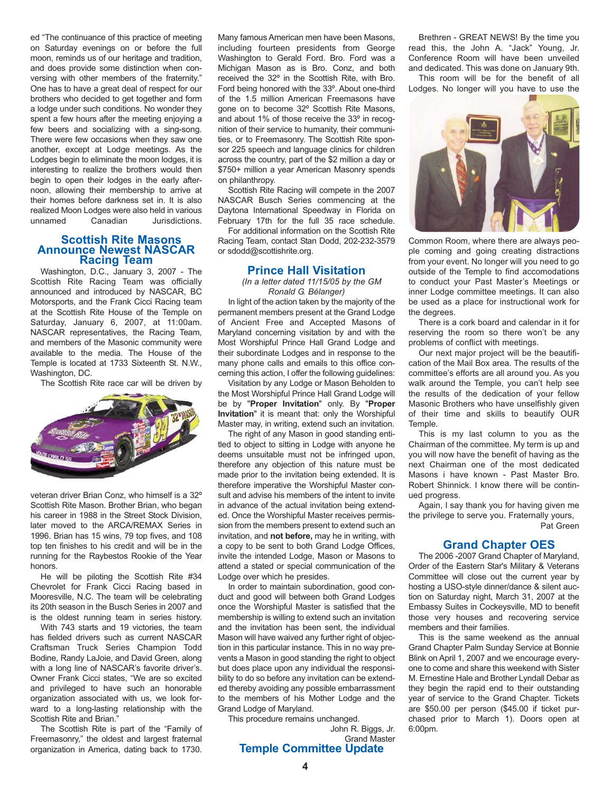ed "The continuance of this practice of meeting on Saturday evenings on or before the full moon, reminds us of our heritage and tradition, and does provide some distinction when conversing with other members of the fraternity." One has to have a great deal of respect for our brothers who decided to get together and form a lodge under such conditions. No wonder they spent a few hours after the meeting enjoying a few beers and socializing with a sing-song. There were few occasions when they saw one another, except at Lodge meetings. As the Lodges begin to eliminate the moon lodges, it is interesting to realize the brothers would then begin to open their lodges in the early afternoon, allowing their membership to arrive at their homes before darkness set in. It is also realized Moon Lodges were also held in various unnamed Canadian Jurisdictions.

### **Scottish Rite Masons Announce Newest NASCAR Racing Team**

Washington, D.C., January 3, 2007 - The Scottish Rite Racing Team was officially announced and introduced by NASCAR, BC Motorsports, and the Frank Cicci Racing team at the Scottish Rite House of the Temple on Saturday, January 6, 2007, at 11:00am. NASCAR representatives, the Racing Team, and members of the Masonic community were available to the media. The House of the Temple is located at 1733 Sixteenth St. N.W., Washington, DC.

The Scottish Rite race car will be driven by



veteran driver Brian Conz, who himself is a 32º Scottish Rite Mason. Brother Brian, who began his career in 1988 in the Street Stock Division, later moved to the ARCA/REMAX Series in 1996. Brian has 15 wins, 79 top fives, and 108 top ten finishes to his credit and will be in the running for the Raybestos Rookie of the Year honors.

He will be piloting the Scottish Rite #34 Chevrolet for Frank Cicci Racing based in Mooresville, N.C. The team will be celebrating its 20th season in the Busch Series in 2007 and is the oldest running team in series history.

With 743 starts and 19 victories, the team has fielded drivers such as current NASCAR Craftsman Truck Series Champion Todd Bodine, Randy LaJoie, and David Green, along with a long line of NASCAR's favorite driver's. Owner Frank Cicci states, "We are so excited and privileged to have such an honorable organization associated with us, we look forward to a long-lasting relationship with the Scottish Rite and Brian.<sup>"</sup>

The Scottish Rite is part of the "Family of Freemasonry," the oldest and largest fraternal organization in America, dating back to 1730. Many famous American men have been Masons, including fourteen presidents from George Washington to Gerald Ford. Bro. Ford was a Michigan Mason as is Bro. Conz, and both received the 32º in the Scottish Rite, with Bro. Ford being honored with the 33º. About one-third of the 1.5 million American Freemasons have gone on to become 32º Scottish Rite Masons, and about 1% of those receive the 33º in recognition of their service to humanity, their communities, or to Freemasonry. The Scottish Rite sponsor 225 speech and language clinics for children across the country, part of the \$2 million a day or \$750+ million a year American Masonry spends on philanthropy.

Scottish Rite Racing will compete in the 2007 NASCAR Busch Series commencing at the Daytona International Speedway in Florida on February 17th for the full 35 race schedule.

For additional information on the Scottish Rite Racing Team, contact Stan Dodd, 202-232-3579 or sdodd@scottishrite.org.

### **Prince Hall Visitation**

*(In a letter dated 11/15/05 by the GM Ronald G. Bélanger)*

In light of the action taken by the majority of the permanent members present at the Grand Lodge of Ancient Free and Accepted Masons of Maryland concerning visitation by and with the Most Worshipful Prince Hall Grand Lodge and their subordinate Lodges and in response to the many phone calls and emails to this office concerning this action, I offer the following guidelines:

Visitation by any Lodge or Mason Beholden to the Most Worshipful Prince Hall Grand Lodge will be by "**Proper Invitation**" only. By "**Proper Invitation**" it is meant that: only the Worshipful Master may, in writing, extend such an invitation.

The right of any Mason in good standing entitled to object to sitting in Lodge with anyone he deems unsuitable must not be infringed upon, therefore any objection of this nature must be made prior to the invitation being extended. It is therefore imperative the Worshipful Master consult and advise his members of the intent to invite in advance of the actual invitation being extended. Once the Worshipful Master receives permission from the members present to extend such an invitation, and **not before,** may he in writing, with a copy to be sent to both Grand Lodge Offices, invite the intended Lodge, Mason or Masons to attend a stated or special communication of the Lodge over which he presides.

In order to maintain subordination, good conduct and good will between both Grand Lodges once the Worshipful Master is satisfied that the membership is willing to extend such an invitation and the invitation has been sent, the individual Mason will have waived any further right of objection in this particular instance. This in no way prevents a Mason in good standing the right to object but does place upon any individual the responsibility to do so before any invitation can be extended thereby avoiding any possible embarrassment to the members of his Mother Lodge and the Grand Lodge of Maryland.

This procedure remains unchanged.

John R. Biggs, Jr. Grand Master **Temple Committee Update**

Brethren - GREAT NEWS! By the time you read this, the John A. "Jack" Young, Jr. Conference Room will have been unveiled and dedicated. This was done on January 9th.

This room will be for the benefit of all Lodges. No longer will you have to use the



Common Room, where there are always people coming and going creating distractions from your event. No longer will you need to go outside of the Temple to find accomodations to conduct your Past Master's Meetings or inner Lodge committee meetings. It can also be used as a place for instructional work for the degrees.

There is a cork board and calendar in it for reserving the room so there won't be any problems of conflict with meetings.

Our next major project will be the beautification of the Mail Box area. The results of the committee's efforts are all around you. As you walk around the Temple, you can't help see the results of the dedication of your fellow Masonic Brothers who have unselfishly given of their time and skills to beautify OUR **Temple** 

This is my last column to you as the Chairman of the committee. My term is up and you will now have the benefit of having as the next Chairman one of the most dedicated Masons i have known - Past Master Bro. Robert Shinnick. I know there will be continued progress.

Again, I say thank you for having given me the privilege to serve you. Fraternally yours, Pat Green

## **Grand Chapter OES**

The 2006 -2007 Grand Chapter of Maryland, Order of the Eastern Star's Military & Veterans Committee will close out the current year by hosting a USO-style dinner/dance & silent auction on Saturday night, March 31, 2007 at the Embassy Suites in Cockeysville, MD to benefit those very houses and recovering service members and their families.

This is the same weekend as the annual Grand Chapter Palm Sunday Service at Bonnie Blink on April 1, 2007 and we encourage everyone to come and share this weekend with Sister M. Ernestine Hale and Brother Lyndall Debar as they begin the rapid end to their outstanding year of service to the Grand Chapter. Tickets are \$50.00 per person (\$45.00 if ticket purchased prior to March 1). Doors open at 6:00pm.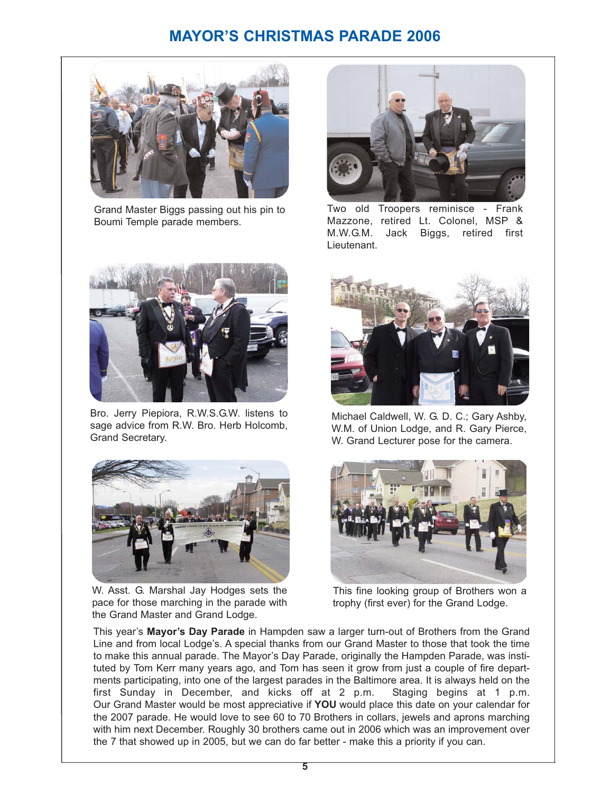# **MAYOR'S CHRISTMAS PARADE 2006**



Grand Master Biggs passing out his pin to Boumi Temple parade members.



Two old Troopers reminisce - Frank Mazzone, retired Lt. Colonel, MSP & M.W.G.M. Jack Biggs, retired first Lieutenant.



Bro. Jerry Piepiora, R.W.S.G.W. listens to sage advice from R.W. Bro. Herb Holcomb, Grand Secretary.



W. Asst. G. Marshal Jay Hodges sets the pace for those marching in the parade with the Grand Master and Grand Lodge.



Michael Caldwell, W. G. D. C.; Gary Ashby, W.M. of Union Lodge, and R. Gary Pierce, W. Grand Lecturer pose for the camera.



This fine looking group of Brothers won a trophy (first ever) for the Grand Lodge.

This year's **Mayor's Day Parade** in Hampden saw a larger turn-out of Brothers from the Grand Line and from local Lodge's. A special thanks from our Grand Master to those that took the time to make this annual parade. The Mayor's Day Parade, originally the Hampden Parade, was instituted by Tom Kerr many years ago, and Tom has seen it grow from just a couple of fire departments participating, into one of the largest parades in the Baltimore area. It is always held on the first Sunday in December, and kicks off at 2 p.m. Staging begins at 1 p.m. Our Grand Master would be most appreciative if **YOU** would place this date on your calendar for the 2007 parade. He would love to see 60 to 70 Brothers in collars, jewels and aprons marching with him next December. Roughly 30 brothers came out in 2006 which was an improvement over the 7 that showed up in 2005, but we can do far better - make this a priority if you can.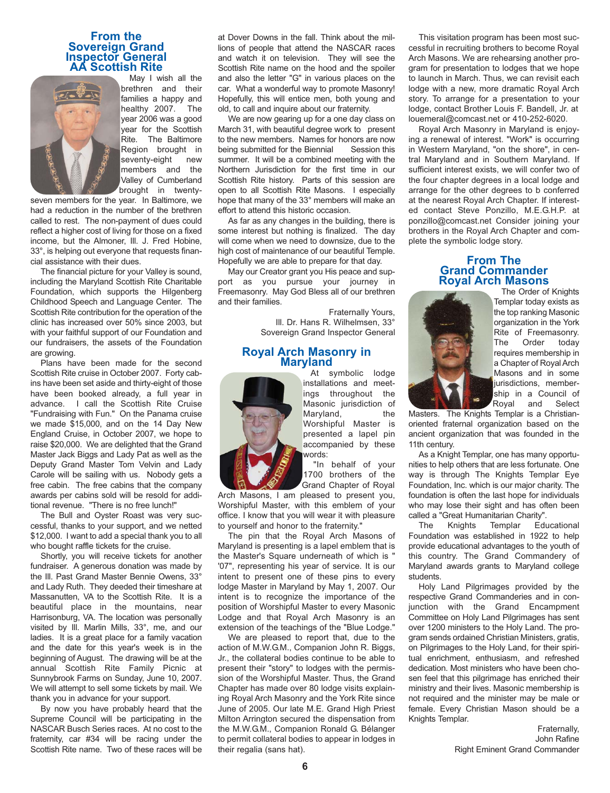### **From the Sovereign Grand Inspector General AA Scottish Rite**



May I wish all the brethren and their families a happy and healthy 2007. The year 2006 was a good year for the Scottish Rite. The Baltimore Region brought in seventy-eight new members and the Valley of Cumberland brought in twenty-

seven members for the year. In Baltimore, we had a reduction in the number of the brethren called to rest. The non-payment of dues could reflect a higher cost of living for those on a fixed income, but the Almoner, Ill. J. Fred Hobine, 33°, is helping out everyone that requests financial assistance with their dues.

The financial picture for your Valley is sound, including the Maryland Scottish Rite Charitable Foundation, which supports the Hilgenberg Childhood Speech and Language Center. The Scottish Rite contribution for the operation of the clinic has increased over 50% since 2003, but with your faithful support of our Foundation and our fundraisers, the assets of the Foundation are growing.

Plans have been made for the second Scottish Rite cruise in October 2007. Forty cabins have been set aside and thirty-eight of those have been booked already, a full year in advance. I call the Scottish Rite Cruise "Fundraising with Fun." On the Panama cruise we made \$15,000, and on the 14 Day New England Cruise, in October 2007, we hope to raise \$20,000. We are delighted that the Grand Master Jack Biggs and Lady Pat as well as the Deputy Grand Master Tom Velvin and Lady Carole will be sailing with us. Nobody gets a free cabin. The free cabins that the company awards per cabins sold will be resold for additional revenue. "There is no free lunch!"

The Bull and Oyster Roast was very successful, thanks to your support, and we netted \$12,000. I want to add a special thank you to all who bought raffle tickets for the cruise.

Shortly, you will receive tickets for another fundraiser. A generous donation was made by the Ill. Past Grand Master Bennie Owens, 33° and Lady Ruth. They deeded their timeshare at Massanutten, VA to the Scottish Rite. It is a beautiful place in the mountains, near Harrisonburg, VA. The location was personally visited by Ill. Marlin Mills, 33°, me, and our ladies. It is a great place for a family vacation and the date for this year's week is in the beginning of August. The drawing will be at the annual Scottish Rite Family Picnic at Sunnybrook Farms on Sunday, June 10, 2007. We will attempt to sell some tickets by mail. We thank you in advance for your support.

By now you have probably heard that the Supreme Council will be participating in the NASCAR Busch Series races. At no cost to the fraternity, car #34 will be racing under the Scottish Rite name. Two of these races will be at Dover Downs in the fall. Think about the millions of people that attend the NASCAR races and watch it on television. They will see the Scottish Rite name on the hood and the spoiler and also the letter "G" in various places on the car. What a wonderful way to promote Masonry! Hopefully, this will entice men, both young and old, to call and inquire about our fraternity.

We are now gearing up for a one day class on March 31, with beautiful degree work to present to the new members. Names for honors are now being submitted for the Biennial Session this summer. It will be a combined meeting with the Northern Jurisdiction for the first time in our Scottish Rite history. Parts of this session are open to all Scottish Rite Masons. I especially hope that many of the 33° members will make an effort to attend this historic occasion.

As far as any changes in the building, there is some interest but nothing is finalized. The day will come when we need to downsize, due to the high cost of maintenance of our beautiful Temple. Hopefully we are able to prepare for that day.

May our Creator grant you His peace and support as you pursue your journey in Freemasonry. May God Bless all of our brethren and their families.

> Fraternally Yours, Ill. Dr. Hans R. Wilhelmsen, 33° Sovereign Grand Inspector General

# **Royal Arch Masonry in Maryland**



At symbolic lodge installations and meetings throughout the Masonic jurisdiction of Maryland, the Worshipful Master is presented a lapel pin accompanied by these words: "In behalf of your

1700 brothers of the Grand Chapter of Royal

Arch Masons, I am pleased to present you, Worshipful Master, with this emblem of your office. I know that you will wear it with pleasure to yourself and honor to the fraternity."

The pin that the Royal Arch Masons of Maryland is presenting is a lapel emblem that is the Master's Square underneath of which is " '07", representing his year of service. It is our intent to present one of these pins to every lodge Master in Maryland by May 1, 2007. Our intent is to recognize the importance of the position of Worshipful Master to every Masonic Lodge and that Royal Arch Masonry is an extension of the teachings of the "Blue Lodge."

We are pleased to report that, due to the action of M.W.G.M., Companion John R. Biggs, Jr., the collateral bodies continue to be able to present their "story" to lodges with the permission of the Worshipful Master. Thus, the Grand Chapter has made over 80 lodge visits explaining Royal Arch Masonry and the York Rite since June of 2005. Our late M.E. Grand High Priest Milton Arrington secured the dispensation from the M.W.G.M., Companion Ronald G. Bélanger to permit collateral bodies to appear in lodges in their regalia (sans hat).

This visitation program has been most successful in recruiting brothers to become Royal Arch Masons. We are rehearsing another program for presentation to lodges that we hope to launch in March. Thus, we can revisit each lodge with a new, more dramatic Royal Arch story. To arrange for a presentation to your lodge, contact Brother Louis F. Bandell, Jr. at louemeral@comcast.net or 410-252-6020.

Royal Arch Masonry in Maryland is enjoying a renewal of interest. "Work" is occurring in Western Maryland, "on the shore", in central Maryland and in Southern Maryland. If sufficient interest exists, we will confer two of the four chapter degrees in a local lodge and arrange for the other degrees to b conferred at the nearest Royal Arch Chapter. If interested contact Steve Ponzillo, M.E.G.H.P. at ponzillo@comcast.net Consider joining your brothers in the Royal Arch Chapter and complete the symbolic lodge story.

### **From The Grand Commander Royal Arch Masons**



The Order of Knights Templar today exists as the top ranking Masonic organization in the York Rite of Freemasonry.<br>The Order todav The Order today requires membership in a Chapter of Royal Arch Masons and in some jurisdictions, membership in a Council of Royal and Select

Masters. The Knights Templar is a Christianoriented fraternal organization based on the ancient organization that was founded in the 11th century.

As a Knight Templar, one has many opportunities to help others that are less fortunate. One way is through The Knights Templar Eye Foundation, Inc. which is our major charity. The foundation is often the last hope for individuals who may lose their sight and has often been called a "Great Humanitarian Charity".

The Knights Templar Educational Foundation was established in 1922 to help provide educational advantages to the youth of this country. The Grand Commandery of Maryland awards grants to Maryland college students.

Holy Land Pilgrimages provided by the respective Grand Commanderies and in conjunction with the Grand Encampment Committee on Holy Land Pilgrimages has sent over 1200 ministers to the Holy Land. The program sends ordained Christian Ministers, gratis, on Pilgrimages to the Holy Land, for their spiritual enrichment, enthusiasm, and refreshed dedication. Most ministers who have been chosen feel that this pilgrimage has enriched their ministry and their lives. Masonic membership is not required and the minister may be male or female. Every Christian Mason should be a Knights Templar.

> Fraternally, John Rafine Right Eminent Grand Commander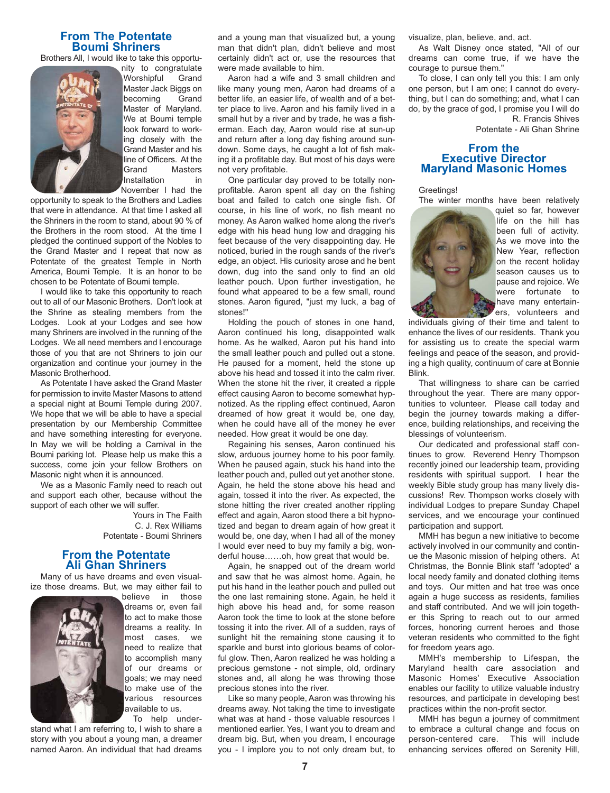## **From The Potentate Boumi Shriners**

Brothers All, I would like to take this opportu-



nity to congratulate Worshipful Grand Master Jack Biggs on becoming Grand Master of Maryland. We at Boumi temple look forward to working closely with the Grand Master and his line of Officers. At the Grand Masters Installation in November I had the

opportunity to speak to the Brothers and Ladies that were in attendance. At that time I asked all the Shriners in the room to stand, about 90 % of the Brothers in the room stood. At the time I pledged the continued support of the Nobles to the Grand Master and I repeat that now as Potentate of the greatest Temple in North America, Boumi Temple. It is an honor to be chosen to be Potentate of Boumi temple.

I would like to take this opportunity to reach out to all of our Masonic Brothers. Don't look at the Shrine as stealing members from the Lodges. Look at your Lodges and see how many Shriners are involved in the running of the Lodges. We all need members and I encourage those of you that are not Shriners to join our organization and continue your journey in the Masonic Brotherhood.

As Potentate I have asked the Grand Master for permission to invite Master Masons to attend a special night at Boumi Temple during 2007. We hope that we will be able to have a special presentation by our Membership Committee and have something interesting for everyone. In May we will be holding a Carnival in the Boumi parking lot. Please help us make this a success, come join your fellow Brothers on Masonic night when it is announced.

We as a Masonic Family need to reach out and support each other, because without the support of each other we will suffer.

> Yours in The Faith C. J. Rex Williams Potentate - Boumi Shriners

### **From the Potentate Ali Ghan Shriners**

Many of us have dreams and even visualize those dreams. But, we may either fail to



believe in those dreams or, even fail to act to make those dreams a reality. In most cases, we need to realize that to accomplish many of our dreams or goals; we may need to make use of the various resources available to us. To help under-

stand what I am referring to, I wish to share a story with you about a young man, a dreamer named Aaron. An individual that had dreams and a young man that visualized but, a young man that didn't plan, didn't believe and most certainly didn't act or, use the resources that were made available to him.

Aaron had a wife and 3 small children and like many young men, Aaron had dreams of a better life, an easier life, of wealth and of a better place to live. Aaron and his family lived in a small hut by a river and by trade, he was a fisherman. Each day, Aaron would rise at sun-up and return after a long day fishing around sundown. Some days, he caught a lot of fish making it a profitable day. But most of his days were not very profitable.

One particular day proved to be totally nonprofitable. Aaron spent all day on the fishing boat and failed to catch one single fish. Of course, in his line of work, no fish meant no money. As Aaron walked home along the river's edge with his head hung low and dragging his feet because of the very disappointing day. He noticed, buried in the rough sands of the river's edge, an object. His curiosity arose and he bent down, dug into the sand only to find an old leather pouch. Upon further investigation, he found what appeared to be a few small, round stones. Aaron figured, "just my luck, a bag of stones!"

Holding the pouch of stones in one hand, Aaron continued his long, disappointed walk home. As he walked, Aaron put his hand into the small leather pouch and pulled out a stone. He paused for a moment, held the stone up above his head and tossed it into the calm river. When the stone hit the river, it created a ripple effect causing Aaron to become somewhat hypnotized. As the rippling effect continued, Aaron dreamed of how great it would be, one day, when he could have all of the money he ever needed. How great it would be one day.

Regaining his senses, Aaron continued his slow, arduous journey home to his poor family. When he paused again, stuck his hand into the leather pouch and, pulled out yet another stone. Again, he held the stone above his head and again, tossed it into the river. As expected, the stone hitting the river created another rippling effect and again, Aaron stood there a bit hypnotized and began to dream again of how great it would be, one day, when I had all of the money I would ever need to buy my family a big, wonderful house……oh, how great that would be.

Again, he snapped out of the dream world and saw that he was almost home. Again, he put his hand in the leather pouch and pulled out the one last remaining stone. Again, he held it high above his head and, for some reason Aaron took the time to look at the stone before tossing it into the river. All of a sudden, rays of sunlight hit the remaining stone causing it to sparkle and burst into glorious beams of colorful glow. Then, Aaron realized he was holding a precious gemstone - not simple, old, ordinary stones and, all along he was throwing those precious stones into the river.

Like so many people, Aaron was throwing his dreams away. Not taking the time to investigate what was at hand - those valuable resources I mentioned earlier. Yes, I want you to dream and dream big. But, when you dream, I encourage you - I implore you to not only dream but, to visualize, plan, believe, and, act.

As Walt Disney once stated, "All of our dreams can come true, if we have the courage to pursue them."

To close, I can only tell you this: I am only one person, but I am one; I cannot do everything, but I can do something; and, what I can do, by the grace of god, I promise you I will do R. Francis Shives

Potentate - Ali Ghan Shrine

### **From the Executive Director Maryland Masonic Homes**

Greetings!

The winter months have been relatively



quiet so far, however life on the hill has been full of activity. As we move into the New Year, reflection on the recent holiday season causes us to pause and rejoice. We were fortunate to have many entertainers, volunteers and

individuals giving of their time and talent to enhance the lives of our residents. Thank you for assisting us to create the special warm feelings and peace of the season, and providing a high quality, continuum of care at Bonnie Blink.

That willingness to share can be carried throughout the year. There are many opportunities to volunteer. Please call today and begin the journey towards making a difference, building relationships, and receiving the blessings of volunteerism.

Our dedicated and professional staff continues to grow. Reverend Henry Thompson recently joined our leadership team, providing residents with spiritual support. I hear the weekly Bible study group has many lively discussions! Rev. Thompson works closely with individual Lodges to prepare Sunday Chapel services, and we encourage your continued participation and support.

MMH has begun a new initiative to become actively involved in our community and continue the Masonic mission of helping others. At Christmas, the Bonnie Blink staff 'adopted' a local needy family and donated clothing items and toys. Our mitten and hat tree was once again a huge success as residents, families and staff contributed. And we will join together this Spring to reach out to our armed forces, honoring current heroes and those veteran residents who committed to the fight for freedom years ago.

MMH's membership to Lifespan, the Maryland health care association and Masonic Homes' Executive Association enables our facility to utilize valuable industry resources, and participate in developing best practices within the non-profit sector.

MMH has begun a journey of commitment to embrace a cultural change and focus on person-centered care. This will include enhancing services offered on Serenity Hill,